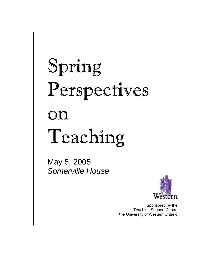# Spring Perspectives on Teaching

May 5, 2005 *Somerville House*



Sponsored by the Teaching Support Centre *The* University *of* Western Ontario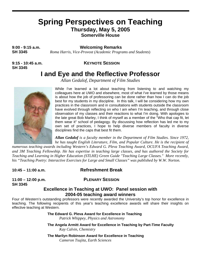# **Spring Perspectives on Teaching Thursday, May 5, 2005**

**Somerville House** 

**9:00 - 9:15 a.m. Welcoming Remarks**

**SH 3345** *Roma Harris, Vice-Provost (Academic Programs and Students*)

**SH 3345**

#### **9:15 - 10:45 a.m. KEYNOTE SESSION**

## **I and Eye and the Reflective Professor**

*Allan Gedalof, Department of Film Studies* 



While I've learned a lot about teaching from listening to and watching my colleagues here at UWO and elsewhere, most of what I've learned by those means is about how the job of professoring can be done rather than how I can do the job best for my students in my discipline. In this talk, I will be considering how my own practices in the classroom and in consultations with students outside the classroom have evolved through reflecting on who I am when I'm teaching, and through close observation of my classes and their reactions to what I'm doing. With apologies to the late great Bob Marley, I think of myself as a member of the "Who that cap fit, let them wear it" school of pedagogy. By discussing how reflection has led me to my own set of practices, I hope to help diverse members of faculty in diverse disciplines find the caps that best fit them.

*Allan Gedalof is a faculty member in the Department of Film Studies. Since 1972, he has taught English Literature, Film, and Popular Culture. He is the recipient of* 

*numerous teaching awards including Western's Edward G. Pleva Teaching Award, OCUFA Teaching Award, and 3M Teaching Fellowship. He has expertise in teaching large classes, and has authored the Society for Teaching and Learning in Higher Education (STLHE) Green Guide "Teaching Large Classes." More recently, his "Teaching Poetry: Interactive Exercises for Large and Small Classes" was published by W.W. Norton.* 

#### **10:45 – 11:00 a.m. Refreshment Break**

**SH 3345** 

**11:00 – 12:00 p.m. PLENARY SESSION**

#### **Excellence in Teaching at UWO: Panel session with 2004-05 teaching award winners**

Four of Western's outstanding professors were recently awarded the University's top honor for excellence in teaching. The following recipients of this year's teaching excellence awards will share their insights on effective teaching at Western.

> **The Edward G. Pleva Award for Excellence in Teaching**  *Patrick Whippey, Physics and Astronomy*

**The Angela Armitt Award for Excellence in Teaching by Part-Time Faculty** *Kay Calvin, Chemistry* 

**The Marilyn Robinson Award for Excellence in Teaching**  *Cameron Tsujita, Earth Sciences*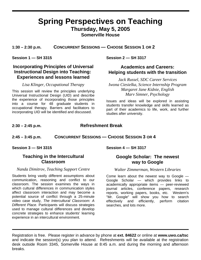#### **Spring Perspectives on Teaching Thursday, May 5, 2005 Somerville House**

**1:30 – 2:30 p.m. CONCURRENT SESSIONS — CHOOSE SESSION 1 OR 2**

**Session 1 — SH 3315** 

#### **Incorporating Principles of Universal Instructional Design into Teaching: Experiences and lessons learned**

#### *Lisa Klinger, Occupational Therapy*

This session will review the principles underlying Universal Instructional Design (UID) and describe the experience of incorporating those principles into a course for 48 graduate students in occupational therapy. Barriers and facilitators to incorporating UID will be identified and discussed.

**Session 2 — SH 3317** 

#### **Academics and Careers: Helping students with the transition**

*Jack Russel, SDC Career Services Iwona Ciesielka, Science Internship Program Margaret Jane Kidnie, English Marv Simner, Psychology*

Issues and ideas will be explored in assisting students transfer knowledge and skills learned as part of their academics to life, work, and further studies after university.

#### **2:30 – 2:45 p.m. Refreshment Break**

#### **2:45 – 3:45 p.m. CONCURRENT SESSIONS — CHOOSE SESSION 3 OR 4**

**Session 3 — SH 3315** 

**Session 4 — SH 3317** 

#### **Teaching in the Intercultural Classroom**

#### *Nanda Dimitrov, Teaching Support Centre*

Students bring vastly different assumptions about communication, reasoning and conflict to our classroom. The session examines the ways in which cultural differences in communication styles affect classroom interaction and may become a potential source of conflict through a 25-minute video case study, *The Intercultural Classroom: A Different Place*. Participants will discuss strategies used to manage cultural differences and develop concrete strategies to enhance students' learning experience in an intercultural environment.

#### **Google Scholar: The newest way to Google**

#### *Walter Zimmerman, Western Libraries*

Come learn about the newest way to Google — Google Scholar — which provides links to academically appropriate items — peer-reviewed journal articles, conference papers, research reports, working papers, books, etc. Western's "Mr. Google" will show you how to search effectively and efficiently, perform citation searches, and lots more.

Registration is free. Please register in advance by phone at **ext. 84622** or online at **www.uwo.ca/tsc** and indicate the session(s) you plan to attend. Refreshments will be available at the registration desk outside Room 3345, Somerville House at 8:45 a.m. and during the morning and afternoon breaks.